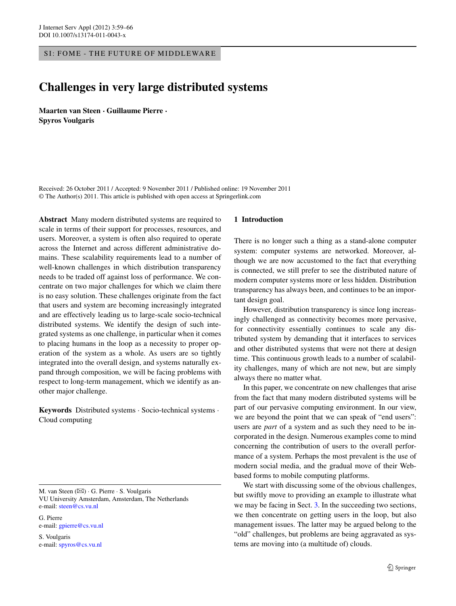SI: FOME - THE FUTURE OF MIDDLEWARE

# **Challenges in very large distributed systems**

**Maarten van Steen · Guillaume Pierre · Spyros Voulgaris**

Received: 26 October 2011 / Accepted: 9 November 2011 / Published online: 19 November 2011 © The Author(s) 2011. This article is published with open access at Springerlink.com

**Abstract** Many modern distributed systems are required to scale in terms of their support for processes, resources, and users. Moreover, a system is often also required to operate across the Internet and across different administrative domains. These scalability requirements lead to a number of well-known challenges in which distribution transparency needs to be traded off against loss of performance. We concentrate on two major challenges for which we claim there is no easy solution. These challenges originate from the fact that users and system are becoming increasingly integrated and are effectively leading us to large-scale socio-technical distributed systems. We identify the design of such integrated systems as one challenge, in particular when it comes to placing humans in the loop as a necessity to proper operation of the system as a whole. As users are so tightly integrated into the overall design, and systems naturally expand through composition, we will be facing problems with respect to long-term management, which we identify as another major challenge.

**Keywords** Distributed systems · Socio-technical systems · Cloud computing

M. van Steen  $(\boxtimes) \cdot G$ . Pierre  $\cdot S$ . Voulgaris VU University Amsterdam, Amsterdam, The Netherlands e-mail: [steen@cs.vu.nl](mailto:steen@cs.vu.nl)

G. Pierre e-mail: [gpierre@cs.vu.nl](mailto:gpierre@cs.vu.nl)

S. Voulgaris e-mail: [spyros@cs.vu.nl](mailto:spyros@cs.vu.nl)

## **1 Introduction**

There is no longer such a thing as a stand-alone computer system: computer systems are networked. Moreover, although we are now accustomed to the fact that everything is connected, we still prefer to see the distributed nature of modern computer systems more or less hidden. Distribution transparency has always been, and continues to be an important design goal.

However, distribution transparency is since long increasingly challenged as connectivity becomes more pervasive, for connectivity essentially continues to scale any distributed system by demanding that it interfaces to services and other distributed systems that were not there at design time. This continuous growth leads to a number of scalability challenges, many of which are not new, but are simply always there no matter what.

In this paper, we concentrate on new challenges that arise from the fact that many modern distributed systems will be part of our pervasive computing environment. In our view, we are beyond the point that we can speak of "end users": users are *part* of a system and as such they need to be incorporated in the design. Numerous examples come to mind concerning the contribution of users to the overall performance of a system. Perhaps the most prevalent is the use of modern social media, and the gradual move of their Webbased forms to mobile computing platforms.

We start with discussing some of the obvious challenges, but swiftly move to providing an example to illustrate what we may be facing in Sect. [3](#page-2-0). In the succeeding two sections, we then concentrate on getting users in the loop, but also management issues. The latter may be argued belong to the "old" challenges, but problems are being aggravated as systems are moving into (a multitude of) clouds.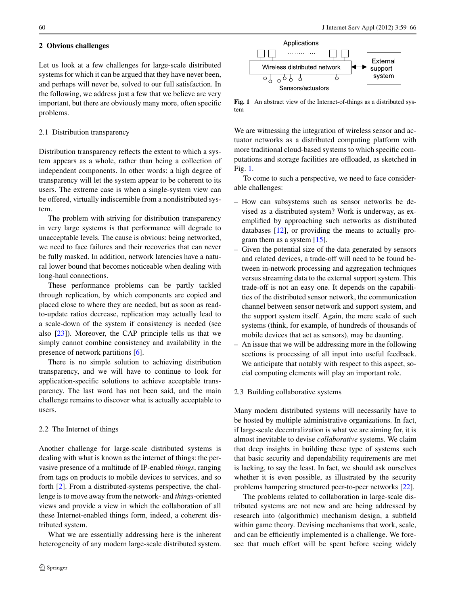# **2 Obvious challenges**

Let us look at a few challenges for large-scale distributed systems for which it can be argued that they have never been, and perhaps will never be, solved to our full satisfaction. In the following, we address just a few that we believe are very important, but there are obviously many more, often specific problems.

## 2.1 Distribution transparency

Distribution transparency reflects the extent to which a system appears as a whole, rather than being a collection of independent components. In other words: a high degree of transparency will let the system appear to be coherent to its users. The extreme case is when a single-system view can be offered, virtually indiscernible from a nondistributed system.

The problem with striving for distribution transparency in very large systems is that performance will degrade to unacceptable levels. The cause is obvious: being networked, we need to face failures and their recoveries that can never be fully masked. In addition, network latencies have a natural lower bound that becomes noticeable when dealing with long-haul connections.

These performance problems can be partly tackled through replication, by which components are copied and placed close to where they are needed, but as soon as readto-update ratios decrease, replication may actually lead to a scale-down of the system if consistency is needed (see also [[23\]](#page-7-0)). Moreover, the CAP principle tells us that we simply cannot combine consistency and availability in the presence of network partitions [\[6](#page-7-1)].

There is no simple solution to achieving distribution transparency, and we will have to continue to look for application-specific solutions to achieve acceptable transparency. The last word has not been said, and the main challenge remains to discover what is actually acceptable to users.

## 2.2 The Internet of things

Another challenge for large-scale distributed systems is dealing with what is known as the internet of things: the pervasive presence of a multitude of IP-enabled *things*, ranging from tags on products to mobile devices to services, and so forth [[2\]](#page-7-2). From a distributed-systems perspective, the challenge is to move away from the network- and *things*-oriented views and provide a view in which the collaboration of all these Internet-enabled things form, indeed, a coherent distributed system.

What we are essentially addressing here is the inherent heterogeneity of any modern large-scale distributed system.

<span id="page-1-0"></span>

Fig. 1 An abstract view of the Internet-of-things as a distributed system

We are witnessing the integration of wireless sensor and actuator networks as a distributed computing platform with more traditional cloud-based systems to which specific computations and storage facilities are offloaded, as sketched in Fig. [1](#page-1-0).

To come to such a perspective, we need to face considerable challenges:

- How can subsystems such as sensor networks be devised as a distributed system? Work is underway, as exemplified by approaching such networks as distributed databases [\[12](#page-7-3)], or providing the means to actually program them as a system  $[15]$  $[15]$ .
- Given the potential size of the data generated by sensors and related devices, a trade-off will need to be found between in-network processing and aggregation techniques versus streaming data to the external support system. This trade-off is not an easy one. It depends on the capabilities of the distributed sensor network, the communication channel between sensor network and support system, and the support system itself. Again, the mere scale of such systems (think, for example, of hundreds of thousands of mobile devices that act as sensors), may be daunting.
- An issue that we will be addressing more in the following sections is processing of all input into useful feedback. We anticipate that notably with respect to this aspect, social computing elements will play an important role.

# 2.3 Building collaborative systems

Many modern distributed systems will necessarily have to be hosted by multiple administrative organizations. In fact, if large-scale decentralization is what we are aiming for, it is almost inevitable to devise *collaborative* systems. We claim that deep insights in building these type of systems such that basic security and dependability requirements are met is lacking, to say the least. In fact, we should ask ourselves whether it is even possible, as illustrated by the security problems hampering structured peer-to-peer networks [\[22](#page-7-5)].

The problems related to collaboration in large-scale distributed systems are not new and are being addressed by research into (algorithmic) mechanism design, a subfield within game theory. Devising mechanisms that work, scale, and can be efficiently implemented is a challenge. We foresee that much effort will be spent before seeing widely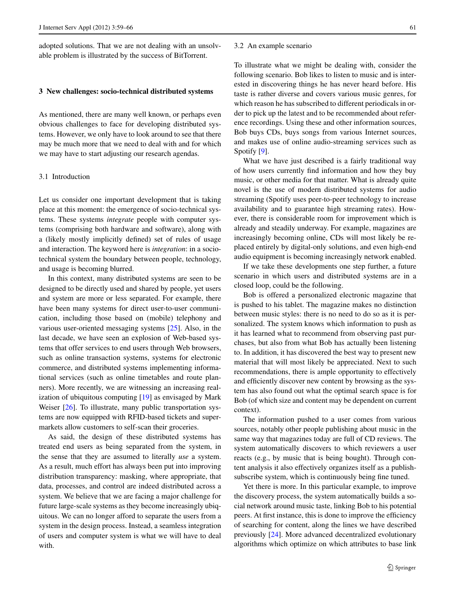<span id="page-2-0"></span>adopted solutions. That we are not dealing with an unsolvable problem is illustrated by the success of BitTorrent.

#### **3 New challenges: socio-technical distributed systems**

As mentioned, there are many well known, or perhaps even obvious challenges to face for developing distributed systems. However, we only have to look around to see that there may be much more that we need to deal with and for which we may have to start adjusting our research agendas.

## 3.1 Introduction

Let us consider one important development that is taking place at this moment: the emergence of socio-technical systems. These systems *integrate* people with computer systems (comprising both hardware and software), along with a (likely mostly implicitly defined) set of rules of usage and interaction. The keyword here is *integration*: in a sociotechnical system the boundary between people, technology, and usage is becoming blurred.

In this context, many distributed systems are seen to be designed to be directly used and shared by people, yet users and system are more or less separated. For example, there have been many systems for direct user-to-user communication, including those based on (mobile) telephony and various user-oriented messaging systems [\[25](#page-7-6)]. Also, in the last decade, we have seen an explosion of Web-based systems that offer services to end users through Web browsers, such as online transaction systems, systems for electronic commerce, and distributed systems implementing informational services (such as online timetables and route planners). More recently, we are witnessing an increasing realization of ubiquitous computing [\[19](#page-7-7)] as envisaged by Mark Weiser [\[26](#page-7-8)]. To illustrate, many public transportation systems are now equipped with RFID-based tickets and supermarkets allow customers to self-scan their groceries.

As said, the design of these distributed systems has treated end users as being separated from the system, in the sense that they are assumed to literally *use* a system. As a result, much effort has always been put into improving distribution transparency: masking, where appropriate, that data, processes, and control are indeed distributed across a system. We believe that we are facing a major challenge for future large-scale systems as they become increasingly ubiquitous. We can no longer afford to separate the users from a system in the design process. Instead, a seamless integration of users and computer system is what we will have to deal with.

#### 3.2 An example scenario

To illustrate what we might be dealing with, consider the following scenario. Bob likes to listen to music and is interested in discovering things he has never heard before. His taste is rather diverse and covers various music genres, for which reason he has subscribed to different periodicals in order to pick up the latest and to be recommended about reference recordings. Using these and other information sources, Bob buys CDs, buys songs from various Internet sources, and makes use of online audio-streaming services such as Spotify [\[9\]](#page-7-9).

What we have just described is a fairly traditional way of how users currently find information and how they buy music, or other media for that matter. What is already quite novel is the use of modern distributed systems for audio streaming (Spotify uses peer-to-peer technology to increase availability and to guarantee high streaming rates). However, there is considerable room for improvement which is already and steadily underway. For example, magazines are increasingly becoming online, CDs will most likely be replaced entirely by digital-only solutions, and even high-end audio equipment is becoming increasingly network enabled.

If we take these developments one step further, a future scenario in which users and distributed systems are in a closed loop, could be the following.

Bob is offered a personalized electronic magazine that is pushed to his tablet. The magazine makes no distinction between music styles: there is no need to do so as it is personalized. The system knows which information to push as it has learned what to recommend from observing past purchases, but also from what Bob has actually been listening to. In addition, it has discovered the best way to present new material that will most likely be appreciated. Next to such recommendations, there is ample opportunity to effectively and efficiently discover new content by browsing as the system has also found out what the optimal search space is for Bob (of which size and content may be dependent on current context).

The information pushed to a user comes from various sources, notably other people publishing about music in the same way that magazines today are full of CD reviews. The system automatically discovers to which reviewers a user reacts (e.g., by music that is being bought). Through content analysis it also effectively organizes itself as a publishsubscribe system, which is continuously being fine tuned.

Yet there is more. In this particular example, to improve the discovery process, the system automatically builds a social network around music taste, linking Bob to his potential peers. At first instance, this is done to improve the efficiency of searching for content, along the lines we have described previously [\[24](#page-7-10)]. More advanced decentralized evolutionary algorithms which optimize on which attributes to base link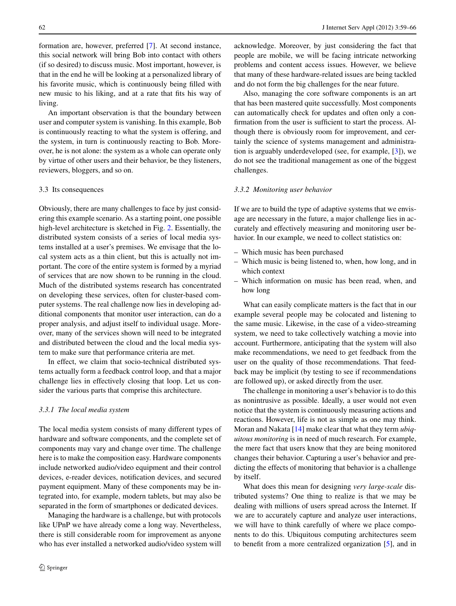formation are, however, preferred [[7\]](#page-7-11). At second instance, this social network will bring Bob into contact with others (if so desired) to discuss music. Most important, however, is that in the end he will be looking at a personalized library of his favorite music, which is continuously being filled with new music to his liking, and at a rate that fits his way of living.

An important observation is that the boundary between user and computer system is vanishing. In this example, Bob is continuously reacting to what the system is offering, and the system, in turn is continuously reacting to Bob. Moreover, he is not alone: the system as a whole can operate only by virtue of other users and their behavior, be they listeners, reviewers, bloggers, and so on.

#### 3.3 Its consequences

Obviously, there are many challenges to face by just considering this example scenario. As a starting point, one possible high-level architecture is sketched in Fig. [2](#page-4-0). Essentially, the distributed system consists of a series of local media systems installed at a user's premises. We envisage that the local system acts as a thin client, but this is actually not important. The core of the entire system is formed by a myriad of services that are now shown to be running in the cloud. Much of the distributed systems research has concentrated on developing these services, often for cluster-based computer systems. The real challenge now lies in developing additional components that monitor user interaction, can do a proper analysis, and adjust itself to individual usage. Moreover, many of the services shown will need to be integrated and distributed between the cloud and the local media system to make sure that performance criteria are met.

In effect, we claim that socio-technical distributed systems actually form a feedback control loop, and that a major challenge lies in effectively closing that loop. Let us consider the various parts that comprise this architecture.

# *3.3.1 The local media system*

The local media system consists of many different types of hardware and software components, and the complete set of components may vary and change over time. The challenge here is to make the composition easy. Hardware components include networked audio/video equipment and their control devices, e-reader devices, notification devices, and secured payment equipment. Many of these components may be integrated into, for example, modern tablets, but may also be separated in the form of smartphones or dedicated devices.

Managing the hardware is a challenge, but with protocols like UPnP we have already come a long way. Nevertheless, there is still considerable room for improvement as anyone who has ever installed a networked audio/video system will acknowledge. Moreover, by just considering the fact that people are mobile, we will be facing intricate networking problems and content access issues. However, we believe that many of these hardware-related issues are being tackled and do not form the big challenges for the near future.

Also, managing the core software components is an art that has been mastered quite successfully. Most components can automatically check for updates and often only a confirmation from the user is sufficient to start the process. Although there is obviously room for improvement, and certainly the science of systems management and administration is arguably underdeveloped (see, for example, [\[3](#page-7-12)]), we do not see the traditional management as one of the biggest challenges.

## *3.3.2 Monitoring user behavior*

If we are to build the type of adaptive systems that we envisage are necessary in the future, a major challenge lies in accurately and effectively measuring and monitoring user behavior. In our example, we need to collect statistics on:

- Which music has been purchased
- Which music is being listened to, when, how long, and in which context
- Which information on music has been read, when, and how long

What can easily complicate matters is the fact that in our example several people may be colocated and listening to the same music. Likewise, in the case of a video-streaming system, we need to take collectively watching a movie into account. Furthermore, anticipating that the system will also make recommendations, we need to get feedback from the user on the quality of those recommendations. That feedback may be implicit (by testing to see if recommendations are followed up), or asked directly from the user.

The challenge in monitoring a user's behavior is to do this as nonintrusive as possible. Ideally, a user would not even notice that the system is continuously measuring actions and reactions. However, life is not as simple as one may think. Moran and Nakata [[14\]](#page-7-13) make clear that what they term *ubiquitous monitoring* is in need of much research. For example, the mere fact that users know that they are being monitored changes their behavior. Capturing a user's behavior and predicting the effects of monitoring that behavior is a challenge by itself.

What does this mean for designing *very large-scale* distributed systems? One thing to realize is that we may be dealing with millions of users spread across the Internet. If we are to accurately capture and analyze user interactions, we will have to think carefully of where we place components to do this. Ubiquitous computing architectures seem to benefit from a more centralized organization [[5](#page-7-14)], and in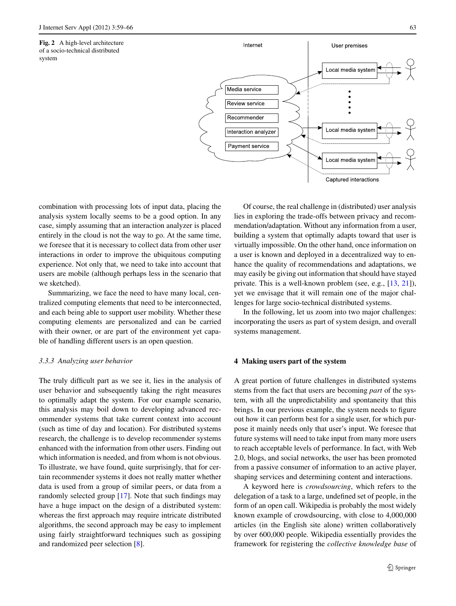<span id="page-4-0"></span>**Fig. 2** A high-level architecture of a socio-technical distributed system



combination with processing lots of input data, placing the analysis system locally seems to be a good option. In any case, simply assuming that an interaction analyzer is placed entirely in the cloud is not the way to go. At the same time, we foresee that it is necessary to collect data from other user interactions in order to improve the ubiquitous computing experience. Not only that, we need to take into account that users are mobile (although perhaps less in the scenario that we sketched).

Summarizing, we face the need to have many local, centralized computing elements that need to be interconnected, and each being able to support user mobility. Whether these computing elements are personalized and can be carried with their owner, or are part of the environment yet capable of handling different users is an open question.

## *3.3.3 Analyzing user behavior*

The truly difficult part as we see it, lies in the analysis of user behavior and subsequently taking the right measures to optimally adapt the system. For our example scenario, this analysis may boil down to developing advanced recommender systems that take current context into account (such as time of day and location). For distributed systems research, the challenge is to develop recommender systems enhanced with the information from other users. Finding out which information is needed, and from whom is not obvious. To illustrate, we have found, quite surprisingly, that for certain recommender systems it does not really matter whether data is used from a group of similar peers, or data from a randomly selected group [[17](#page-7-15)]. Note that such findings may have a huge impact on the design of a distributed system: whereas the first approach may require intricate distributed algorithms, the second approach may be easy to implement using fairly straightforward techniques such as gossiping and randomized peer selection [\[8](#page-7-16)].

Of course, the real challenge in (distributed) user analysis lies in exploring the trade-offs between privacy and recommendation/adaptation. Without any information from a user, building a system that optimally adapts toward that user is virtually impossible. On the other hand, once information on a user is known and deployed in a decentralized way to enhance the quality of recommendations and adaptations, we may easily be giving out information that should have stayed private. This is a well-known problem (see, e.g., [\[13](#page-7-17), [21\]](#page-7-18)), yet we envisage that it will remain one of the major challenges for large socio-technical distributed systems.

In the following, let us zoom into two major challenges: incorporating the users as part of system design, and overall systems management.

## **4 Making users part of the system**

A great portion of future challenges in distributed systems stems from the fact that users are becoming *part* of the system, with all the unpredictability and spontaneity that this brings. In our previous example, the system needs to figure out how it can perform best for a single user, for which purpose it mainly needs only that user's input. We foresee that future systems will need to take input from many more users to reach acceptable levels of performance. In fact, with Web 2.0, blogs, and social networks, the user has been promoted from a passive consumer of information to an active player, shaping services and determining content and interactions.

A keyword here is *crowdsourcing*, which refers to the delegation of a task to a large, undefined set of people, in the form of an open call. Wikipedia is probably the most widely known example of crowdsourcing, with close to 4,000,000 articles (in the English site alone) written collaboratively by over 600,000 people. Wikipedia essentially provides the framework for registering the *collective knowledge base* of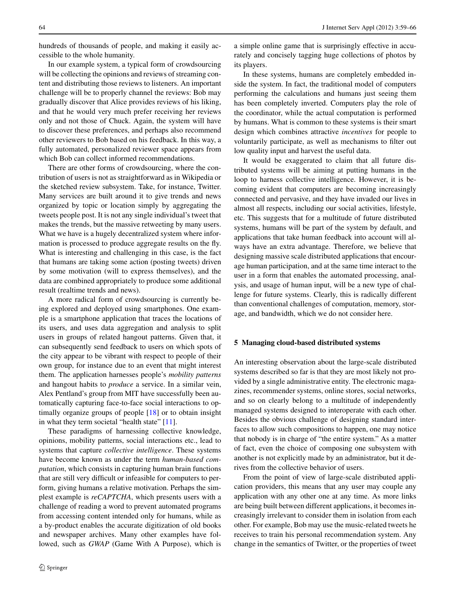hundreds of thousands of people, and making it easily accessible to the whole humanity.

In our example system, a typical form of crowdsourcing will be collecting the opinions and reviews of streaming content and distributing those reviews to listeners. An important challenge will be to properly channel the reviews: Bob may gradually discover that Alice provides reviews of his liking, and that he would very much prefer receiving her reviews only and not those of Chuck. Again, the system will have to discover these preferences, and perhaps also recommend other reviewers to Bob based on his feedback. In this way, a fully automated, personalized reviewer space appears from which Bob can collect informed recommendations.

There are other forms of crowdsourcing, where the contribution of users is not as straightforward as in Wikipedia or the sketched review subsystem. Take, for instance, Twitter. Many services are built around it to give trends and news organized by topic or location simply by aggregating the tweets people post. It is not any single individual's tweet that makes the trends, but the massive retweeting by many users. What we have is a hugely decentralized system where information is processed to produce aggregate results on the fly. What is interesting and challenging in this case, is the fact that humans are taking some action (posting tweets) driven by some motivation (will to express themselves), and the data are combined appropriately to produce some additional result (realtime trends and news).

A more radical form of crowdsourcing is currently being explored and deployed using smartphones. One example is a smartphone application that traces the locations of its users, and uses data aggregation and analysis to split users in groups of related hangout patterns. Given that, it can subsequently send feedback to users on which spots of the city appear to be vibrant with respect to people of their own group, for instance due to an event that might interest them. The application harnesses people's *mobility patterns* and hangout habits to *produce* a service. In a similar vein, Alex Pentland's group from MIT have successfully been automatically capturing face-to-face social interactions to optimally organize groups of people [[18\]](#page-7-19) or to obtain insight in what they term societal "health state" [[11\]](#page-7-20).

These paradigms of harnessing collective knowledge, opinions, mobility patterns, social interactions etc., lead to systems that capture *collective intelligence*. These systems have become known as under the term *human-based computation*, which consists in capturing human brain functions that are still very difficult or infeasible for computers to perform, giving humans a relative motivation. Perhaps the simplest example is *reCAPTCHA*, which presents users with a challenge of reading a word to prevent automated programs from accessing content intended only for humans, while as a by-product enables the accurate digitization of old books and newspaper archives. Many other examples have followed, such as *GWAP* (Game With A Purpose), which is a simple online game that is surprisingly effective in accurately and concisely tagging huge collections of photos by its players.

In these systems, humans are completely embedded inside the system. In fact, the traditional model of computers performing the calculations and humans just seeing them has been completely inverted. Computers play the role of the coordinator, while the actual computation is performed by humans. What is common to these systems is their smart design which combines attractive *incentives* for people to voluntarily participate, as well as mechanisms to filter out low quality input and harvest the useful data.

It would be exaggerated to claim that all future distributed systems will be aiming at putting humans in the loop to harness collective intelligence. However, it is becoming evident that computers are becoming increasingly connected and pervasive, and they have invaded our lives in almost all respects, including our social activities, lifestyle, etc. This suggests that for a multitude of future distributed systems, humans will be part of the system by default, and applications that take human feedback into account will always have an extra advantage. Therefore, we believe that designing massive scale distributed applications that encourage human participation, and at the same time interact to the user in a form that enables the automated processing, analysis, and usage of human input, will be a new type of challenge for future systems. Clearly, this is radically different than conventional challenges of computation, memory, storage, and bandwidth, which we do not consider here.

## **5 Managing cloud-based distributed systems**

An interesting observation about the large-scale distributed systems described so far is that they are most likely not provided by a single administrative entity. The electronic magazines, recommender systems, online stores, social networks, and so on clearly belong to a multitude of independently managed systems designed to interoperate with each other. Besides the obvious challenge of designing standard interfaces to allow such compositions to happen, one may notice that nobody is in charge of "the entire system." As a matter of fact, even the choice of composing one subsystem with another is not explicitly made by an administrator, but it derives from the collective behavior of users.

From the point of view of large-scale distributed application providers, this means that any user may couple any application with any other one at any time. As more links are being built between different applications, it becomes increasingly irrelevant to consider them in isolation from each other. For example, Bob may use the music-related tweets he receives to train his personal recommendation system. Any change in the semantics of Twitter, or the properties of tweet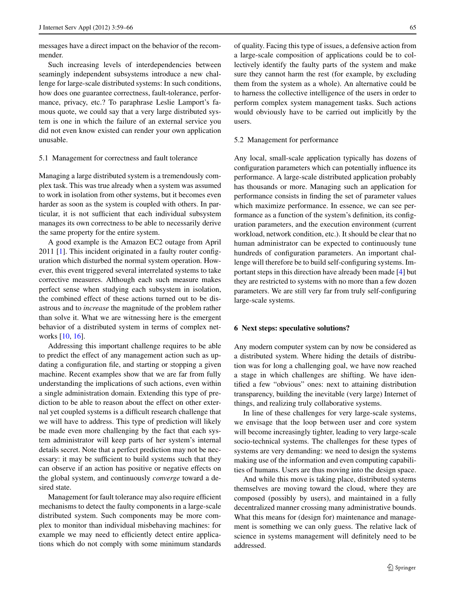messages have a direct impact on the behavior of the recommender.

Such increasing levels of interdependencies between seamingly independent subsystems introduce a new challenge for large-scale distributed systems: In such conditions, how does one guarantee correctness, fault-tolerance, performance, privacy, etc.? To paraphrase Leslie Lamport's famous quote, we could say that a very large distributed system is one in which the failure of an external service you did not even know existed can render your own application unusable.

# 5.1 Management for correctness and fault tolerance

Managing a large distributed system is a tremendously complex task. This was true already when a system was assumed to work in isolation from other systems, but it becomes even harder as soon as the system is coupled with others. In particular, it is not sufficient that each individual subsystem manages its own correctness to be able to necessarily derive the same property for the entire system.

A good example is the Amazon EC2 outage from April 2011 [\[1](#page-7-21)]. This incident originated in a faulty router configuration which disturbed the normal system operation. However, this event triggered several interrelated systems to take corrective measures. Although each such measure makes perfect sense when studying each subsystem in isolation, the combined effect of these actions turned out to be disastrous and to *increase* the magnitude of the problem rather than solve it. What we are witnessing here is the emergent behavior of a distributed system in terms of complex networks [[10,](#page-7-22) [16\]](#page-7-23).

Addressing this important challenge requires to be able to predict the effect of any management action such as updating a configuration file, and starting or stopping a given machine. Recent examples show that we are far from fully understanding the implications of such actions, even within a single administration domain. Extending this type of prediction to be able to reason about the effect on other external yet coupled systems is a difficult research challenge that we will have to address. This type of prediction will likely be made even more challenging by the fact that each system administrator will keep parts of her system's internal details secret. Note that a perfect prediction may not be necessary: it may be sufficient to build systems such that they can observe if an action has positive or negative effects on the global system, and continuously *converge* toward a desired state.

Management for fault tolerance may also require efficient mechanisms to detect the faulty components in a large-scale distributed system. Such components may be more complex to monitor than individual misbehaving machines: for example we may need to efficiently detect entire applications which do not comply with some minimum standards of quality. Facing this type of issues, a defensive action from a large-scale composition of applications could be to collectively identify the faulty parts of the system and make sure they cannot harm the rest (for example, by excluding them from the system as a whole). An alternative could be to harness the collective intelligence of the users in order to perform complex system management tasks. Such actions would obviously have to be carried out implicitly by the users.

#### 5.2 Management for performance

Any local, small-scale application typically has dozens of configuration parameters which can potentially influence its performance. A large-scale distributed application probably has thousands or more. Managing such an application for performance consists in finding the set of parameter values which maximize performance. In essence, we can see performance as a function of the system's definition, its configuration parameters, and the execution environment (current workload, network condition, etc.). It should be clear that no human administrator can be expected to continuously tune hundreds of configuration parameters. An important challenge will therefore be to build self-configuring systems. Important steps in this direction have already been made [\[4](#page-7-24)] but they are restricted to systems with no more than a few dozen parameters. We are still very far from truly self-configuring large-scale systems.

#### **6 Next steps: speculative solutions?**

Any modern computer system can by now be considered as a distributed system. Where hiding the details of distribution was for long a challenging goal, we have now reached a stage in which challenges are shifting. We have identified a few "obvious" ones: next to attaining distribution transparency, building the inevitable (very large) Internet of things, and realizing truly collaborative systems.

In line of these challenges for very large-scale systems, we envisage that the loop between user and core system will become increasingly tighter, leading to very large-scale socio-technical systems. The challenges for these types of systems are very demanding: we need to design the systems making use of the information and even computing capabilities of humans. Users are thus moving into the design space.

And while this move is taking place, distributed systems themselves are moving toward the cloud, where they are composed (possibly by users), and maintained in a fully decentralized manner crossing many administrative bounds. What this means for (design for) maintenance and management is something we can only guess. The relative lack of science in systems management will definitely need to be addressed.